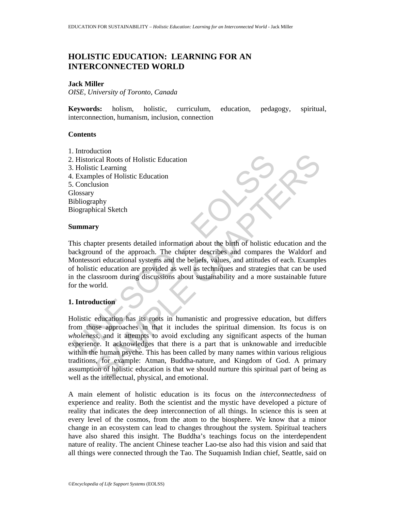# **HOLISTIC EDUCATION: LEARNING FOR AN INTERCONNECTED WORLD**

### **Jack Miller**

*OISE, University of Toronto, Canada* 

**Keywords:** holism, holistic, curriculum, education, pedagogy, spiritual, interconnection, humanism, inclusion, connection

## **Contents**

- 1. Introduction
- 2. Historical Roots of Holistic Education
- 3. Holistic Learning
- 4. Examples of Holistic Education
- 5. Conclusion

**Glossary** 

Bibliography

Biographical Sketch

### **Summary**

Historical Roots of Holistic Education<br>
Historical Roots of Holistic Education<br>
Holistic Learning<br>
Examples of Holistic Education<br>
Ilosary<br>
ibliography<br>
iographical Sketch<br> **ummary**<br>
his chapter presents detailed informati This chapter presents detailed information about the birth of holistic education and the background of the approach. The chapter describes and compares the Waldorf and Montessori educational systems and the beliefs, values, and attitudes of each. Examples of holistic education are provided as well as techniques and strategies that can be used in the classroom during discussions about sustainability and a more sustainable future for the world.

## **1. Introduction**

Containstitute Education<br>
Call Roots of Holistic Education<br>
Lical Roots of Holistic Education<br>
Susion<br>
Suspendices of Holistic Education<br>
Suspendices Characterizes and compares the Waldorf and<br>
The celectronic education ar Holistic education has its roots in humanistic and progressive education, but differs from those approaches in that it includes the spiritual dimension. Its focus is on *wholeness,* and it attempts to avoid excluding any significant aspects of the human experience. It acknowledges that there is a part that is unknowable and irreducible within the human psyche. This has been called by many names within various religious traditions, for example: Atman, Buddha-nature, and Kingdom of God. A primary assumption of holistic education is that we should nurture this spiritual part of being as well as the intellectual, physical, and emotional.

A main element of holistic education is its focus on the *interconnectedness* of experience and reality. Both the scientist and the mystic have developed a picture of reality that indicates the deep interconnection of all things. In science this is seen at every level of the cosmos, from the atom to the biosphere. We know that a minor change in an ecosystem can lead to changes throughout the system. Spiritual teachers have also shared this insight. The Buddha's teachings focus on the interdependent nature of reality. The ancient Chinese teacher Lao-tse also had this vision and said that all things were connected through the Tao. The Suquamish Indian chief, Seattle, said on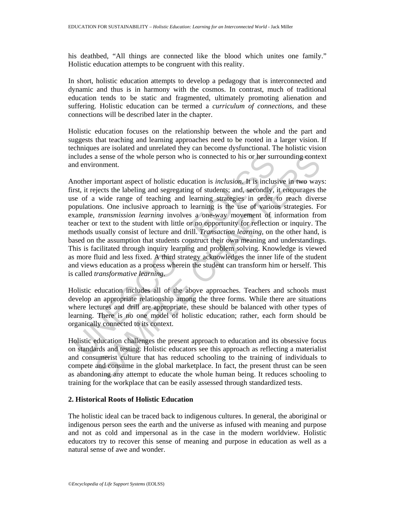his deathbed, "All things are connected like the blood which unites one family." Holistic education attempts to be congruent with this reality.

In short, holistic education attempts to develop a pedagogy that is interconnected and dynamic and thus is in harmony with the cosmos. In contrast, much of traditional education tends to be static and fragmented, ultimately promoting alienation and suffering. Holistic education can be termed a *curriculum of connections*, and these connections will be described later in the chapter.

Holistic education focuses on the relationship between the whole and the part and suggests that teaching and learning approaches need to be rooted in a larger vision. If techniques are isolated and unrelated they can become dysfunctional. The holistic vision includes a sense of the whole person who is connected to his or her surrounding context and environment.

ncludes a sense of the whole person who is connected to his or her sund environment.<br>
mother important aspect of holistic education is *inclusion*. It is inclus<br>
rst, it rejects the labeling and segregating of students: an a sense of the whole person who is connected to his or her surrounding contex<br>comment.<br>important aspect of holistic education is *inclusion*. It is inclusive in two way-<br>igences the labeling and segregating of studens; and Another important aspect of holistic education is *inclusion*. It is inclusive in two ways: first, it rejects the labeling and segregating of students; and, secondly, it encourages the use of a wide range of teaching and learning strategies in order to reach diverse populations. One inclusive approach to learning is the use of various strategies. For example, *transmission learning* involves a one-way movement of information from teacher or text to the student with little or no opportunity for reflection or inquiry. The methods usually consist of lecture and drill. *Transaction learning*, on the other hand, is based on the assumption that students construct their own meaning and understandings. This is facilitated through inquiry learning and problem solving. Knowledge is viewed as more fluid and less fixed. A third strategy acknowledges the inner life of the student and views education as a process wherein the student can transform him or herself. This is called *transformative learning*.

Holistic education includes all of the above approaches. Teachers and schools must develop an appropriate relationship among the three forms. While there are situations where lectures and drill are appropriate, these should be balanced with other types of learning. There is no one model of holistic education; rather, each form should be organically connected to its context.

Holistic education challenges the present approach to education and its obsessive focus on standards and testing. Holistic educators see this approach as reflecting a materialist and consumerist culture that has reduced schooling to the training of individuals to compete and consume in the global marketplace. In fact, the present thrust can be seen as abandoning any attempt to educate the whole human being. It reduces schooling to training for the workplace that can be easily assessed through standardized tests.

## **2. Historical Roots of Holistic Education**

The holistic ideal can be traced back to indigenous cultures. In general, the aboriginal or indigenous person sees the earth and the universe as infused with meaning and purpose and not as cold and impersonal as in the case in the modern worldview. Holistic educators try to recover this sense of meaning and purpose in education as well as a natural sense of awe and wonder.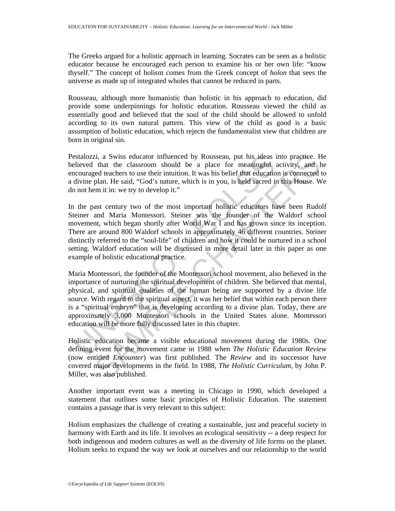The Greeks argued for a holistic approach in learning. Socrates can be seen as a holistic educator because he encouraged each person to examine his or her own life: "know thyself." The concept of holism comes from the Greek concept of *holon* that sees the universe as made up of integrated wholes that cannot be reduced in parts.

Rousseau, although more humanistic than holistic in his approach to education, did provide some underpinnings for holistic education. Rousseau viewed the child as essentially good and believed that the soul of the child should be allowed to unfold according to its own natural pattern. This view of the child as good is a basic assumption of holistic education, which rejects the fundamentalist view that children are born in original sin.

Pestalozzi, a Swiss educator influenced by Rousseau, put his ideas into practice. He believed that the classroom should be a place for meaningful activity, and he encouraged teachers to use their intuition. It was his belief that education is connected to a divine plan. He said, "God's nature, which is in you, is held sacred in this House. We do not hem it in: we try to develop it."

estalozzi, a Swiss educator influenced by Rousseau, put his ideas<br>elieved that the classroom should be a place for meaningful<br>accouraged teachers to use their intuition. It was his belief that educatio<br>divine plan. He said zi, a Swiss educator influenced by Rousseau, put his ideas into practice. He that the classroom should be a place for meaningful activity, and the class of the place of meaningful activity, and the sligted teachers to use In the past century two of the most important holistic educators have been Rudolf Steiner and Maria Montessori. Steiner was the founder of the Waldorf school movement, which began shortly after World War I and has grown since its inception. There are around 800 Waldorf schools in approximately 46 different countries. Steiner distinctly referred to the "soul-life" of children and how it could be nurtured in a school setting. Waldorf education will be discussed in more detail later in this paper as one example of holistic educational practice.

Maria Montessori, the founder of the Montessori school movement, also believed in the importance of nurturing the spiritual development of children. She believed that mental, physical, and spiritual qualities of the human being are supported by a divine life source. With regard to the spiritual aspect, it was her belief that within each person there is a "spiritual embryo" that is developing according to a divine plan. Today, there are approximately 3,000 Montessori schools in the United States alone. Montessori education will be more fully discussed later in this chapter.

Holistic education became a visible educational movement during the 1980s. One defining event for the movement came in 1988 when *The Holistic Education Review* (now entitled *Encounter*) was first published. The *Review* and its successor have covered major developments in the field. In 1988, *The Holistic Curriculum*, by John P. Miller, was also published.

Another important event was a meeting in Chicago in 1990, which developed a statement that outlines some basic principles of Holistic Education. The statement contains a passage that is very relevant to this subject:

Holism emphasizes the challenge of creating a sustainable, just and peaceful society in harmony with Earth and its life. It involves an ecological sensitivity -- a deep respect for both indigenous and modern cultures as well as the diversity of life forms on the planet. Holism seeks to expand the way we look at ourselves and our relationship to the world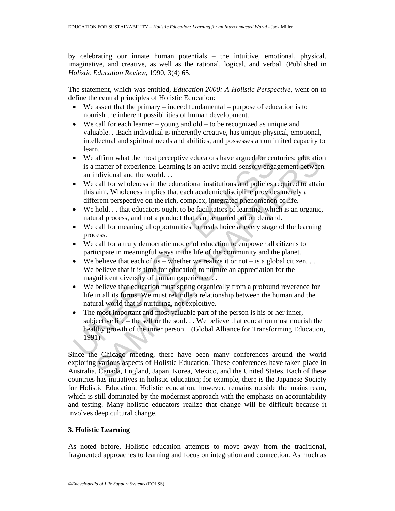by celebrating our innate human potentials – the intuitive, emotional, physical, imaginative, and creative, as well as the rational, logical, and verbal. (Published in *Holistic Education Review*, 1990, 3(4) 65.

The statement, which was entitled, *Education 2000: A Holistic Perspective,* went on to define the central principles of Holistic Education:

- We assert that the primary indeed fundamental purpose of education is to nourish the inherent possibilities of human development.
- We call for each learner young and old to be recognized as unique and valuable. . .Each individual is inherently creative, has unique physical, emotional, intellectual and spiritual needs and abilities, and possesses an unlimited capacity to learn.
- We affirm what the most perceptive educators have argued for centuries: education is a matter of experience. Learning is an active multi-sensory engagement between an individual and the world. . .
- We call for wholeness in the educational institutions and policies required to attain this aim. Wholeness implies that each academic discipline provides merely a different perspective on the rich, complex, integrated phenomenon of life.
- We hold... that educators ought to be facilitators of learning, which is an organic, natural process, and not a product that can be turned out on demand.
- We call for meaningful opportunities for real choice at every stage of the learning process.
- We call for a truly democratic model of education to empower all citizens to participate in meaningful ways in the life of the community and the planet.
- We believe that each of  $us$  whether we realize it or not is a global citizen... We believe that it is time for education to nurture an appreciation for the magnificent diversity of human experience. . .
- We believe that education must spring organically from a profound reverence for life in all its forms. We must rekindle a relationship between the human and the natural world that is nurturing, not exploitive.
- We affirm what the most perceptive educators have argued for cen<br>
is a matter of experience. Learning is an active multi-sensory enga<br>
an individual and the world...<br>
We call for wholeness implies that each academic dis affirm what the most perceptive educators have argued for centuries: education<br>matter of experience. Learning is an active multi-sensory engagement between<br>matter of experience. Learning is an active multi-sensory engageme • The most important and most valuable part of the person is his or her inner, subjective life – the self or the soul. . . We believe that education must nourish the healthy growth of the inner person. (Global Alliance for Transforming Education, 1991)

Since the Chicago meeting, there have been many conferences around the world exploring various aspects of Holistic Education. These conferences have taken place in Australia, Canada, England, Japan, Korea, Mexico, and the United States. Each of these countries has initiatives in holistic education; for example, there is the Japanese Society for Holistic Education. Holistic education, however, remains outside the mainstream, which is still dominated by the modernist approach with the emphasis on accountability and testing. Many holistic educators realize that change will be difficult because it involves deep cultural change.

# **3. Holistic Learning**

As noted before, Holistic education attempts to move away from the traditional, fragmented approaches to learning and focus on integration and connection. As much as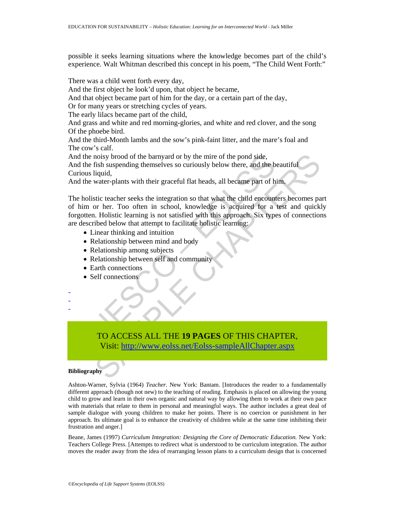possible it seeks learning situations where the knowledge becomes part of the child's experience. Walt Whitman described this concept in his poem, "The Child Went Forth:"

There was a child went forth every day,

And the first object he look'd upon, that object he became,

And that object became part of him for the day, or a certain part of the day,

Or for many years or stretching cycles of years.

The early lilacs became part of the child,

And grass and white and red morning-glories, and white and red clover, and the song Of the phoebe bird.

And the third-Month lambs and the sow's pink-faint litter, and the mare's foal and The cow's calf.

And the noisy brood of the barnyard or by the mire of the pond side,

And the fish suspending themselves so curiously below there, and the beautiful Curious liquid,

And the water-plants with their graceful flat heads, all became part of him.

nd the noisy brood of the barnyard or by the mire of the pond side,<br>
and the fish suspending themselves so curiously below there, and the b<br>
urious liquid,<br>
urious liquid,<br>
urious liquid,<br>
the holistic teacher seeks the in noisy brood of the barnyard or by the mire of the pond side,<br>fish suspending themselves so curiously below there, and the beautiful<br>figuid,<br>tiquid,<br>water-plants with their graceful flat heads, all became part of him,<br>stic The holistic teacher seeks the integration so that what the child encounters becomes part of him or her. Too often in school, knowledge is acquired for a test and quickly forgotten. Holistic learning is not satisfied with this approach. Six types of connections are described below that attempt to facilitate holistic learning:

- Linear thinking and intuition
- Relationship between mind and body
- Relationship among subjects
- Relationship between self and community
- Earth connections
- Self connections

- - -

# TO ACCESS ALL THE **19 PAGES** OF THIS CHAPTER, Visit: http://www.eolss.net/Eolss-sampleAllChapter.aspx

## **Bibliography**

Ashton-Warner, Sylvia (1964) *Teacher.* New York: Bantam. [Introduces the reader to a fundamentally different approach (though not new) to the teaching of reading. Emphasis is placed on allowing the young child to grow and learn in their own organic and natural way by allowing them to work at their own pace with materials that relate to them in personal and meaningful ways. The author includes a great deal of sample dialogue with young children to make her points. There is no coercion or punishment in her approach. Its ultimate goal is to enhance the creativity of children while at the same time inhibiting their frustration and anger.]

Beane, James (1997) *Curriculum Integration: Designing the Core of Democratic Education.* New York: Teachers College Press. [Attempts to redirect what is understood to be curriculum integration. The author moves the reader away from the idea of rearranging lesson plans to a curriculum design that is concerned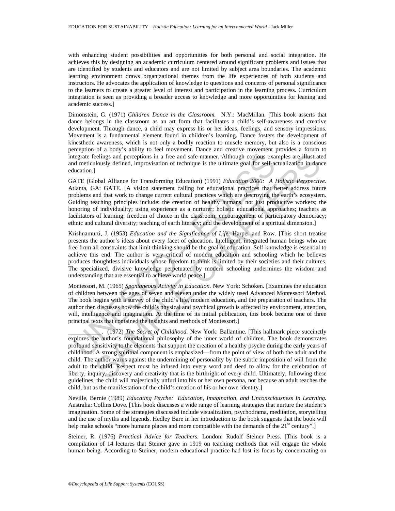with enhancing student possibilities and opportunities for both personal and social integration. He achieves this by designing an academic curriculum centered around significant problems and issues that are identified by students and educators and are not limited by subject area boundaries. The academic learning environment draws organizational themes from the life experiences of both students and instructors. He advocates the application of knowledge to questions and concerns of personal significance to the learners to create a greater level of interest and participation in the learning process. Curriculum integration is seen as providing a broader access to knowledge and more opportunities for leaning and academic success.]

Dimonstein, G. (1971) *Children Dance in the Classroom.* N.Y.: MacMillan. [This book asserts that dance belongs in the classroom as an art form that facilitates a child's self-awareness and creative development. Through dance, a child may express his or her ideas, feelings, and sensory impressions. Movement is a fundamental element found in children's learning. Dance fosters the development of kinesthetic awareness, which is not only a bodily reaction to muscle memory, but also is a conscious perception of a body's ability to feel movement. Dance and creative movement provides a forum to integrate feelings and perceptions in a free and safe manner. Although copious examples are illustrated and meticulously defined, improvisation of technique is the ultimate goal for self-actualization in dance education.]

tegrate feelings and perceptions in a free and safe manner. Although copious exa<br>
dimeticulously defined, improvisation of technique is the ultimate goal for self-at<br>
lucation.]<br>
ATE (Global Alliance for Transforming Educa GATE (Global Alliance for Transforming Education) (1991) *Education 2000: A Holistic Perspective.* Atlanta, GA: GATE. [A vision statement calling for educational practices that better address future problems and that work to change current cultural practices which are destroying the earth's ecosystem. Guiding teaching principles include: the creation of healthy humans, not just productive workers; the honoring of individuality; using experience as a nurturer; holistic educational approaches; teachers as facilitators of learning; freedom of choice in the classroom; encouragement of participatory democracy; ethnic and cultural diversity; teaching of earth literacy; and the development of a spiritual dimension.]

Krishnamurti, J. (1953) *Education and the Significance of Life.* Harper and Row. [This short treatise presents the author's ideas about every facet of education. Intelligent, integrated human beings who are free from all constraints that limit thinking should be the goal of education. Self-knowledge is essential to achieve this end. The author is very critical of modern education and schooling which he believes produces thoughtless individuals whose freedom to think is limited by their societies and their cultures. The specialized, divisive knowledge perpetuated by modern schooling undermines the wisdom and understanding that are essential to achieve world peace.]

Montessori, M. (1965) *Spontaneous Activity in Education.* New York: Schoken. [Examines the education of children between the ages of seven and eleven under the widely used Advanced Montessori Method. The book begins with a survey of the child's life, modern education, and the preparation of teachers. The author then discusses how the child's physical and psychical growth is affected by environment, attention, will, intelligence and imagination. At the time of its initial publication, this book became one of three principal texts that contained the insights and methods of Montessori.]

eelings and perceptions in a free and safe manner. Although copious examples are illustrated using the divideosity defined, improvisation of technique is the ultimate goal for self-actualization in dand<br>lobal Alliance for \_\_\_\_\_\_\_\_\_\_\_. (1972) *The Secret of Childhood.* New York: Ballantine. [This hallmark piece succinctly explores the author's foundational philosophy of the inner world of children. The book demonstrates profound sensitivity to the elements that support the creation of a healthy psyche during the early years of childhood. A strong spiritual component is emphasized—from the point of view of both the adult and the child. The author warns against the undermining of personality by the subtle imposition of will from the adult to the child. Respect must be infused into every word and deed to allow for the celebration of liberty, inquiry, discovery and creativity that is the birthright of every child. Ultimately, following these guidelines, the child will majestically unfurl into his or her own persona, not because an adult teaches the child, but as the manifestation of the child's creation of his or her own identity.]

Neville, Bernie (1989) *Educating Psyche: Education, Imagination, and Unconsciousness In Learning.* Australia: Collins Dove. [This book discusses a wide range of learning strategies that nurture the student's imagination. Some of the strategies discussed include visualization, psychodrama, meditation, storytelling and the use of myths and legends. Hedley Bare in her introduction to the book suggests that the book will help make schools "more humane places and more compatible with the demands of the 21<sup>st</sup> century".]

Steiner, R. (1976) *Practical Advice for Teachers.* London: Rudolf Steiner Press. [This book is a compilation of 14 lectures that Steiner gave in 1919 on teaching methods that will engage the whole human being. According to Steiner, modern educational practice had lost its focus by concentrating on